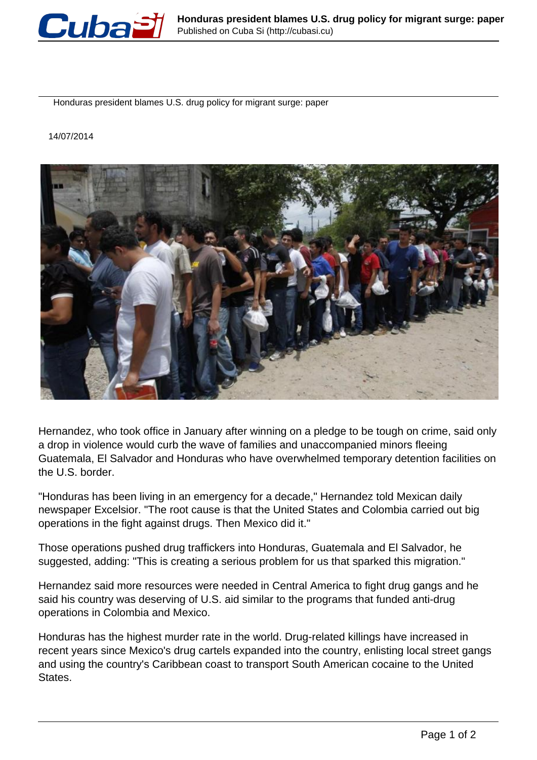

Honduras president blames U.S. drug policy for migrant surge: paper

14/07/2014



Hernandez, who took office in January after winning on a pledge to be tough on crime, said only a drop in violence would curb the wave of families and unaccompanied minors fleeing Guatemala, El Salvador and Honduras who have overwhelmed temporary detention facilities on the U.S. border.

"Honduras has been living in an emergency for a decade," Hernandez told Mexican daily newspaper Excelsior. "The root cause is that the United States and Colombia carried out big operations in the fight against drugs. Then Mexico did it."

Those operations pushed drug traffickers into Honduras, Guatemala and El Salvador, he suggested, adding: "This is creating a serious problem for us that sparked this migration."

Hernandez said more resources were needed in Central America to fight drug gangs and he said his country was deserving of U.S. aid similar to the programs that funded anti-drug operations in Colombia and Mexico.

Honduras has the highest murder rate in the world. Drug-related killings have increased in recent years since Mexico's drug cartels expanded into the country, enlisting local street gangs and using the country's Caribbean coast to transport South American cocaine to the United States.